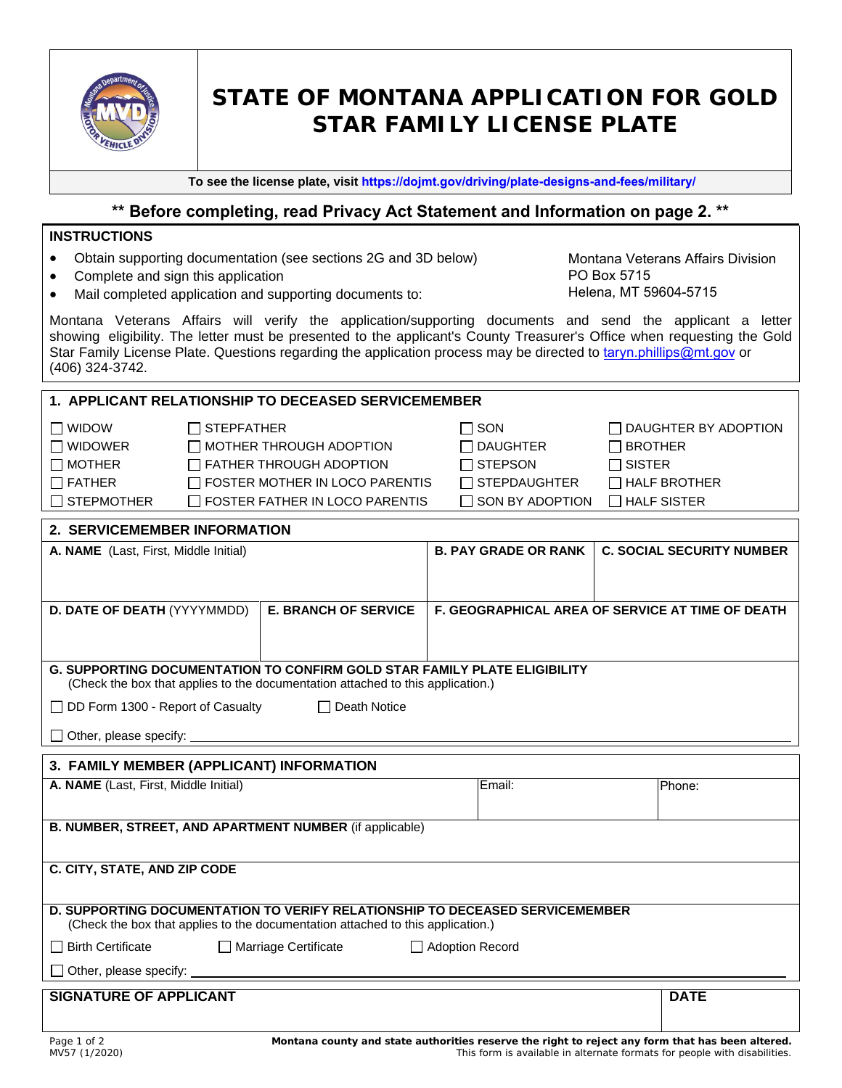

# **STATE OF MONTANA APPLICATION FOR GOLD STAR FAMILY LICENSE PLATE**

**To see the license plate, visit <https://dojmt.gov/driving/plate-designs-and-fees/military/>**

# **\*\* Before completing, read Privacy Act Statement and Information on page 2. \*\***

#### **INSTRUCTIONS**

- Obtain supporting documentation (see sections 2G and 3D below)
- Complete and sign this application
- Mail completed application and supporting documents to:

Montana Veterans Affairs Division PO Box 5715 Helena, MT 59604-5715

Montana Veterans Affairs will verify the application/supporting documents and send the applicant a letter showing eligibility. The letter must be presented to the applicant's County Treasurer's Office when requesting the Gold Star Family License Plate. Questions regarding the application process may be directed to [taryn.phillips@mt.gov](mailto:lehall@mt.gov) or (406) 324-3742.

| 1. APPLICANT RELATIONSHIP TO DECEASED SERVICEMEMBER                                                                                                                    |                   |                                                                                                                                                    |                                                                                           |                                                                                                             |
|------------------------------------------------------------------------------------------------------------------------------------------------------------------------|-------------------|----------------------------------------------------------------------------------------------------------------------------------------------------|-------------------------------------------------------------------------------------------|-------------------------------------------------------------------------------------------------------------|
| $\Box$ WIDOW<br>$\Box$ WIDOWER<br>$\Box$ MOTHER<br>$\Box$ FATHER<br>$\Box$ STEPMOTHER                                                                                  | $\Box$ STEPFATHER | $\Box$ MOTHER THROUGH ADOPTION<br>$\Box$ FATHER THROUGH ADOPTION<br>$\Box$ FOSTER MOTHER IN LOCO PARENTIS<br>$\Box$ FOSTER FATHER IN LOCO PARENTIS | $\Box$ SON<br>$\Box$ DAUGHTER<br>$\Box$ STEPSON<br>$\Box$ STEPDAUGHTER<br>SON BY ADOPTION | $\Box$ DAUGHTER BY ADOPTION<br>$\Box$ BROTHER<br>$\Box$ SISTER<br>$\Box$ HALF BROTHER<br>$\Box$ HALF SISTER |
| 2. SERVICEMEMBER INFORMATION                                                                                                                                           |                   |                                                                                                                                                    |                                                                                           |                                                                                                             |
| A. NAME (Last, First, Middle Initial)                                                                                                                                  |                   |                                                                                                                                                    | <b>B. PAY GRADE OR RANK</b>                                                               | <b>C. SOCIAL SECURITY NUMBER</b>                                                                            |
| D. DATE OF DEATH (YYYYMMDD)<br><b>E. BRANCH OF SERVICE</b>                                                                                                             |                   |                                                                                                                                                    |                                                                                           | F. GEOGRAPHICAL AREA OF SERVICE AT TIME OF DEATH                                                            |
| <b>G. SUPPORTING DOCUMENTATION TO CONFIRM GOLD STAR FAMILY PLATE ELIGIBILITY</b><br>(Check the box that applies to the documentation attached to this application.)    |                   |                                                                                                                                                    |                                                                                           |                                                                                                             |
| □ DD Form 1300 - Report of Casualty<br>□ Death Notice                                                                                                                  |                   |                                                                                                                                                    |                                                                                           |                                                                                                             |
|                                                                                                                                                                        |                   |                                                                                                                                                    |                                                                                           |                                                                                                             |
| 3. FAMILY MEMBER (APPLICANT) INFORMATION                                                                                                                               |                   |                                                                                                                                                    |                                                                                           |                                                                                                             |
| A. NAME (Last, First, Middle Initial)                                                                                                                                  |                   |                                                                                                                                                    | Email:                                                                                    | Phone:                                                                                                      |
| <b>B. NUMBER, STREET, AND APARTMENT NUMBER (if applicable)</b>                                                                                                         |                   |                                                                                                                                                    |                                                                                           |                                                                                                             |
| C. CITY, STATE, AND ZIP CODE                                                                                                                                           |                   |                                                                                                                                                    |                                                                                           |                                                                                                             |
| <b>D. SUPPORTING DOCUMENTATION TO VERIFY RELATIONSHIP TO DECEASED SERVICEMEMBER</b><br>(Check the box that applies to the documentation attached to this application.) |                   |                                                                                                                                                    |                                                                                           |                                                                                                             |
| $\Box$ Birth Certificate<br>Marriage Certificate<br>Adoption Record                                                                                                    |                   |                                                                                                                                                    |                                                                                           |                                                                                                             |
|                                                                                                                                                                        |                   |                                                                                                                                                    |                                                                                           |                                                                                                             |
| <b>SIGNATURE OF APPLICANT</b>                                                                                                                                          |                   |                                                                                                                                                    |                                                                                           | <b>DATE</b>                                                                                                 |
|                                                                                                                                                                        |                   |                                                                                                                                                    |                                                                                           |                                                                                                             |